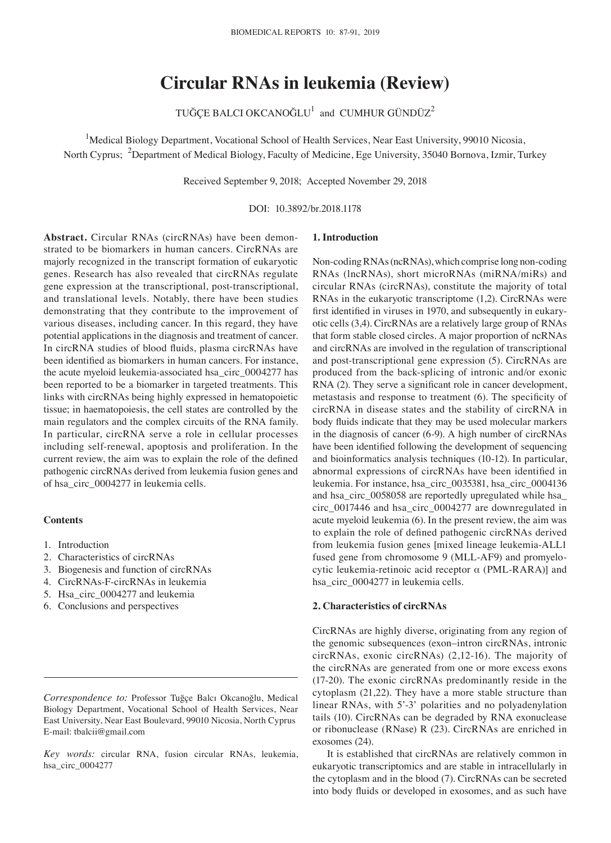# **Circular RNAs in leukemia (Review)**

TUĞÇE BALCI OKCANOĞLU $^1$  and CUMHUR GÜNDÜZ $^2$ 

<sup>1</sup>Medical Biology Department, Vocational School of Health Services, Near East University, 99010 Nicosia, North Cyprus; <sup>2</sup>Department of Medical Biology, Faculty of Medicine, Ege University, 35040 Bornova, Izmir, Turkey

Received September 9, 2018; Accepted November 29, 2018

DOI: 10.3892/br.2018.1178

**Abstract.** Circular RNAs (circRNAs) have been demonstrated to be biomarkers in human cancers. CircRNAs are majorly recognized in the transcript formation of eukaryotic genes. Research has also revealed that circRNAs regulate gene expression at the transcriptional, post-transcriptional, and translational levels. Notably, there have been studies demonstrating that they contribute to the improvement of various diseases, including cancer. In this regard, they have potential applications in the diagnosis and treatment of cancer. In circRNA studies of blood fluids, plasma circRNAs have been identified as biomarkers in human cancers. For instance, the acute myeloid leukemia-associated hsa\_circ\_0004277 has been reported to be a biomarker in targeted treatments. This links with circRNAs being highly expressed in hematopoietic tissue; in haematopoiesis, the cell states are controlled by the main regulators and the complex circuits of the RNA family. In particular, circRNA serve a role in cellular processes including self-renewal, apoptosis and proliferation. In the current review, the aim was to explain the role of the defined pathogenic circRNAs derived from leukemia fusion genes and of hsa\_circ\_0004277 in leukemia cells.

## **Contents**

- 1. Introduction
- 2. Characteristics of circRNAs
- 3. Biogenesis and function of circRNAs
- 4. CircRNAs‑F‑circRNAs in leukemia
- 5. Hsa\_circ\_0004277 and leukemia
- 6. Conclusions and perspectives

*Correspondence to:* Professor Tuğçe Balcı Okcanoğlu, Medical Biology Department, Vocational School of Health Services, Near East University, Near East Boulevard, 99010 Nicosia, North Cyprus E-mail: tbalcii@gmail.com

*Key words:* circular RNA, fusion circular RNAs, leukemia, hsa\_circ\_0004277

#### **1. Introduction**

Non-coding RNAs (ncRNAs), which comprise long non-coding RNAs (lncRNAs), short microRNAs (miRNA/miRs) and circular RNAs (circRNAs), constitute the majority of total RNAs in the eukaryotic transcriptome (1,2). CircRNAs were first identified in viruses in 1970, and subsequently in eukaryotic cells (3,4). CircRNAs are a relatively large group of RNAs that form stable closed circles. A major proportion of ncRNAs and circRNAs are involved in the regulation of transcriptional and post-transcriptional gene expression (5). CircRNAs are produced from the back-splicing of intronic and/or exonic RNA (2). They serve a significant role in cancer development, metastasis and response to treatment (6). The specificity of circRNA in disease states and the stability of circRNA in body fluids indicate that they may be used molecular markers in the diagnosis of cancer (6-9). A high number of circRNAs have been identified following the development of sequencing and bioinformatics analysis techniques (10‑12). In particular, abnormal expressions of circRNAs have been identified in leukemia. For instance, hsa\_circ\_0035381, hsa\_circ\_0004136 and hsa\_circ\_0058058 are reportedly upregulated while hsa\_ circ\_0017446 and hsa\_circ\_0004277 are downregulated in acute myeloid leukemia (6). In the present review, the aim was to explain the role of defined pathogenic circRNAs derived from leukemia fusion genes [mixed lineage leukemia-ALL1 fused gene from chromosome 9 (MLL‑AF9) and promyelocytic leukemia-retinoic acid receptor α (PML-RARA)] and hsa\_circ\_0004277 in leukemia cells.

## **2. Characteristics of circRNAs**

CircRNAs are highly diverse, originating from any region of the genomic subsequences (exon–intron circRNAs, intronic circRNAs, exonic circRNAs) (2,12-16). The majority of the circRNAs are generated from one or more excess exons (17-20). The exonic circRNAs predominantly reside in the cytoplasm (21,22). They have a more stable structure than linear RNAs, with 5'-3' polarities and no polyadenylation tails (10). CircRNAs can be degraded by RNA exonuclease or ribonuclease (RNase) R (23). CircRNAs are enriched in exosomes (24).

It is established that circRNAs are relatively common in eukaryotic transcriptomics and are stable in intracellularly in the cytoplasm and in the blood (7). CircRNAs can be secreted into body fluids or developed in exosomes, and as such have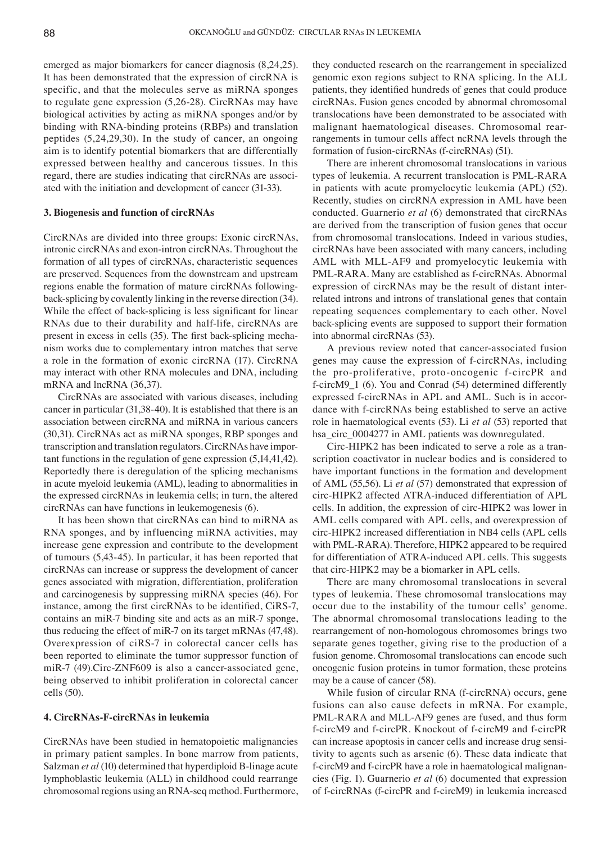emerged as major biomarkers for cancer diagnosis (8,24,25). It has been demonstrated that the expression of circRNA is specific, and that the molecules serve as miRNA sponges to regulate gene expression (5,26-28). CircRNAs may have biological activities by acting as miRNA sponges and/or by binding with RNA-binding proteins (RBPs) and translation peptides (5,24,29,30). In the study of cancer, an ongoing aim is to identify potential biomarkers that are differentially expressed between healthy and cancerous tissues. In this regard, there are studies indicating that circRNAs are associated with the initiation and development of cancer (31-33).

#### **3. Biogenesis and function of circRNAs**

CircRNAs are divided into three groups: Exonic circRNAs, intronic circRNAs and exon-intron circRNAs. Throughout the formation of all types of circRNAs, characteristic sequences are preserved. Sequences from the downstream and upstream regions enable the formation of mature circRNAs followingback-splicing by covalently linking in the reverse direction (34). While the effect of back-splicing is less significant for linear RNAs due to their durability and half-life, circRNAs are present in excess in cells (35). The first back‑splicing mechanism works due to complementary intron matches that serve a role in the formation of exonic circRNA (17). CircRNA may interact with other RNA molecules and DNA, including mRNA and lncRNA (36,37).

CircRNAs are associated with various diseases, including cancer in particular (31,38-40). It is established that there is an association between circRNA and miRNA in various cancers (30,31). CircRNAs act as miRNA sponges, RBP sponges and transcription and translation regulators. CircRNAs have important functions in the regulation of gene expression (5,14,41,42). Reportedly there is deregulation of the splicing mechanisms in acute myeloid leukemia (AML), leading to abnormalities in the expressed circRNAs in leukemia cells; in turn, the altered circRNAs can have functions in leukemogenesis (6).

It has been shown that circRNAs can bind to miRNA as RNA sponges, and by influencing miRNA activities, may increase gene expression and contribute to the development of tumours (5,43-45). In particular, it has been reported that circRNAs can increase or suppress the development of cancer genes associated with migration, differentiation, proliferation and carcinogenesis by suppressing miRNA species (46). For instance, among the first circRNAs to be identified, CiRS-7, contains an miR-7 binding site and acts as an miR-7 sponge, thus reducing the effect of miR-7 on its target mRNAs (47,48). Overexpression of ciRS-7 in colorectal cancer cells has been reported to eliminate the tumor suppressor function of miR-7 (49).Circ-ZNF609 is also a cancer-associated gene, being observed to inhibit proliferation in colorectal cancer cells (50).

# **4. CircRNAs‑F‑circRNAs in leukemia**

CircRNAs have been studied in hematopoietic malignancies in primary patient samples. In bone marrow from patients, Salzman *et al* (10) determined that hyperdiploid B-linage acute lymphoblastic leukemia (ALL) in childhood could rearrange chromosomal regions using an RNA‑seq method. Furthermore, they conducted research on the rearrangement in specialized genomic exon regions subject to RNA splicing. In the ALL patients, they identified hundreds of genes that could produce circRNAs. Fusion genes encoded by abnormal chromosomal translocations have been demonstrated to be associated with malignant haematological diseases. Chromosomal rearrangements in tumour cells affect ncRNA levels through the formation of fusion-circRNAs (f-circRNAs) (51).

There are inherent chromosomal translocations in various types of leukemia. A recurrent translocation is PML-RARA in patients with acute promyelocytic leukemia (APL) (52). Recently, studies on circRNA expression in AML have been conducted. Guarnerio *et al* (6) demonstrated that circRNAs are derived from the transcription of fusion genes that occur from chromosomal translocations. Indeed in various studies, circRNAs have been associated with many cancers, including AML with MLL‑AF9 and promyelocytic leukemia with PML-RARA. Many are established as f-circRNAs. Abnormal expression of circRNAs may be the result of distant interrelated introns and introns of translational genes that contain repeating sequences complementary to each other. Novel back-splicing events are supposed to support their formation into abnormal circRNAs (53).

A previous review noted that cancer-associated fusion genes may cause the expression of f-circRNAs, including the pro-proliferative, proto-oncogenic f-circPR and f-circM9\_1 (6). You and Conrad (54) determined differently expressed f-circRNAs in APL and AML. Such is in accordance with f-circRNAs being established to serve an active role in haematological events (53). Li *et al* (53) reported that hsa\_circ\_0004277 in AML patients was downregulated.

Circ‑HIPK2 has been indicated to serve a role as a transcription coactivator in nuclear bodies and is considered to have important functions in the formation and development of AML (55,56). Li *et al* (57) demonstrated that expression of circ‑HIPK2 affected ATRA‑induced differentiation of APL cells. In addition, the expression of circ‑HIPK2 was lower in AML cells compared with APL cells, and overexpression of circ‑HIPK2 increased differentiation in NB4 cells (APL cells with PML‑RARA). Therefore, HIPK2 appeared to be required for differentiation of ATRA-induced APL cells. This suggests that circ‑HIPK2 may be a biomarker in APL cells.

There are many chromosomal translocations in several types of leukemia. These chromosomal translocations may occur due to the instability of the tumour cells' genome. The abnormal chromosomal translocations leading to the rearrangement of non-homologous chromosomes brings two separate genes together, giving rise to the production of a fusion genome. Chromosomal translocations can encode such oncogenic fusion proteins in tumor formation, these proteins may be a cause of cancer (58).

While fusion of circular RNA (f-circRNA) occurs, gene fusions can also cause defects in mRNA. For example, PML‑RARA and MLL‑AF9 genes are fused, and thus form f-circM9 and f-circPR. Knockout of f-circM9 and f-circPR can increase apoptosis in cancer cells and increase drug sensitivity to agents such as arsenic (6). These data indicate that f-circM9 and f-circPR have a role in haematological malignancies (Fig. 1). Guarnerio *et al* (6) documented that expression of f-circRNAs (f-circPR and f-circM9) in leukemia increased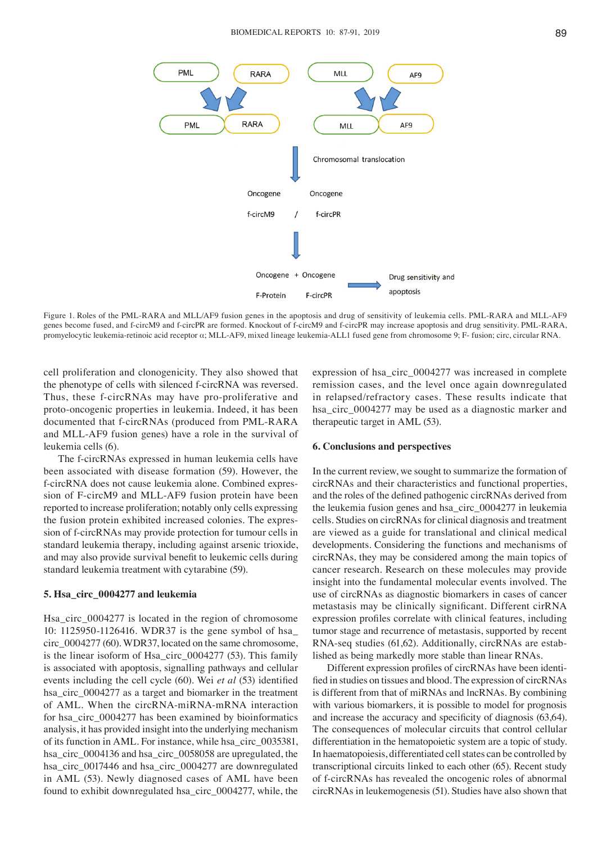

Figure 1. Roles of the PML-RARA and MLL/AF9 fusion genes in the apoptosis and drug of sensitivity of leukemia cells. PML-RARA and MLL-AF9 genes become fused, and f-circM9 and f-circPR are formed. Knockout of f-circM9 and f-circPR may increase apoptosis and drug sensitivity. PML-RARA, promyelocytic leukemia-retinoic acid receptor α; MLL-AF9, mixed lineage leukemia-ALL1 fused gene from chromosome 9; F- fusion; circ, circular RNA.

cell proliferation and clonogenicity. They also showed that the phenotype of cells with silenced f-circRNA was reversed. Thus, these f-circRNAs may have pro-proliferative and proto-oncogenic properties in leukemia. Indeed, it has been documented that f-circRNAs (produced from PML-RARA and MLL‑AF9 fusion genes) have a role in the survival of leukemia cells (6).

The f-circRNAs expressed in human leukemia cells have been associated with disease formation (59). However, the f-circRNA does not cause leukemia alone. Combined expression of F-circM9 and MLL-AF9 fusion protein have been reported to increase proliferation; notably only cells expressing the fusion protein exhibited increased colonies. The expression of f-circRNAs may provide protection for tumour cells in standard leukemia therapy, including against arsenic trioxide, and may also provide survival benefit to leukemic cells during standard leukemia treatment with cytarabine (59).

## **5. Hsa\_circ\_0004277 and leukemia**

Hsa\_circ\_0004277 is located in the region of chromosome 10: 1125950-1126416. WDR37 is the gene symbol of hsa\_ circ\_0004277 (60). WDR37, located on the same chromosome, is the linear isoform of Hsa\_circ\_0004277 (53). This family is associated with apoptosis, signalling pathways and cellular events including the cell cycle (60). Wei *et al* (53) identified hsa\_circ\_0004277 as a target and biomarker in the treatment of AML. When the circRNA-miRNA-mRNA interaction for hsa\_circ\_0004277 has been examined by bioinformatics analysis, it has provided insight into the underlying mechanism of its function in AML. For instance, while hsa\_circ\_0035381, hsa\_circ\_0004136 and hsa\_circ\_0058058 are upregulated, the hsa\_circ\_0017446 and hsa\_circ\_0004277 are downregulated in AML (53). Newly diagnosed cases of AML have been found to exhibit downregulated hsa\_circ\_0004277, while, the expression of hsa\_circ\_0004277 was increased in complete remission cases, and the level once again downregulated in relapsed/refractory cases. These results indicate that hsa\_circ\_0004277 may be used as a diagnostic marker and therapeutic target in AML (53).

## **6. Conclusions and perspectives**

In the current review, we sought to summarize the formation of circRNAs and their characteristics and functional properties, and the roles of the defined pathogenic circRNAs derived from the leukemia fusion genes and hsa\_circ\_0004277 in leukemia cells. Studies on circRNAs for clinical diagnosis and treatment are viewed as a guide for translational and clinical medical developments. Considering the functions and mechanisms of circRNAs, they may be considered among the main topics of cancer research. Research on these molecules may provide insight into the fundamental molecular events involved. The use of circRNAs as diagnostic biomarkers in cases of cancer metastasis may be clinically significant. Different cirRNA expression profiles correlate with clinical features, including tumor stage and recurrence of metastasis, supported by recent RNA‑seq studies (61,62). Additionally, circRNAs are established as being markedly more stable than linear RNAs.

Different expression profiles of circRNAs have been identified in studies on tissues and blood. The expression of circRNAs is different from that of miRNAs and lncRNAs. By combining with various biomarkers, it is possible to model for prognosis and increase the accuracy and specificity of diagnosis (63,64). The consequences of molecular circuits that control cellular differentiation in the hematopoietic system are a topic of study. In haematopoiesis, differentiated cell states can be controlled by transcriptional circuits linked to each other (65). Recent study of f-circRNAs has revealed the oncogenic roles of abnormal circRNAs in leukemogenesis (51). Studies have also shown that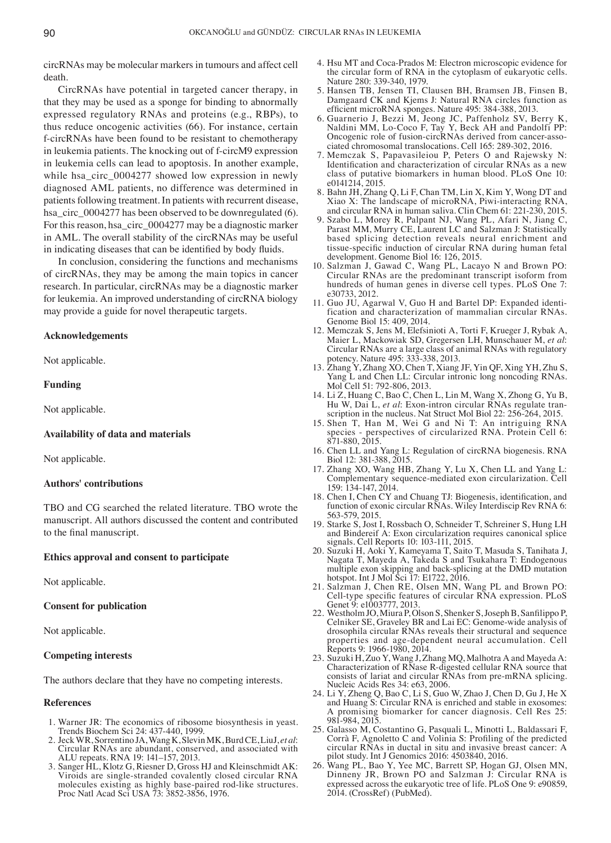circRNAs may be molecular markers in tumours and affect cell death.

CircRNAs have potential in targeted cancer therapy, in that they may be used as a sponge for binding to abnormally expressed regulatory RNAs and proteins (e.g., RBPs), to thus reduce oncogenic activities (66). For instance, certain f-circRNAs have been found to be resistant to chemotherapy in leukemia patients. The knocking out of f-circM9 expression in leukemia cells can lead to apoptosis. In another example, while hsa\_circ\_0004277 showed low expression in newly diagnosed AML patients, no difference was determined in patients following treatment. In patients with recurrent disease, hsa\_circ\_0004277 has been observed to be downregulated (6). For this reason, hsa\_circ\_0004277 may be a diagnostic marker in AML. The overall stability of the circRNAs may be useful in indicating diseases that can be identified by body fluids.

In conclusion, considering the functions and mechanisms of circRNAs, they may be among the main topics in cancer research. In particular, circRNAs may be a diagnostic marker for leukemia. An improved understanding of circRNA biology may provide a guide for novel therapeutic targets.

## **Acknowledgements**

Not applicable.

## **Funding**

Not applicable.

#### **Availability of data and materials**

Not applicable.

## **Authors' contributions**

TBO and CG searched the related literature. TBO wrote the manuscript. All authors discussed the content and contributed to the final manuscript.

#### **Ethics approval and consent to participate**

Not applicable.

## **Consent for publication**

Not applicable.

## **Competing interests**

The authors declare that they have no competing interests.

## **References**

- 1. Warner JR: The economics of ribosome biosynthesis in yeast. Trends Biochem Sci 24: 437-440, 1999.<br>2. Jeck WR, Sorrentino JA, Wang K, Slevin MK, Burd CE, LiuJ, et al.
- 2. Jeck WR, Sorrentino JA, Wang K, Slevin MK, Burd CE, LiuJ, *et al*: Circular RNAs are abundant, conserved, and associated with ALU repeats. RNA 19: 141–157, 2013.
- 3. Sanger HL, Klotz G, Riesner D, Gross HJ and Kleinschmidt AK: Viroids are single-stranded covalently closed circular RNA molecules existing as highly base-paired rod-like structures. Proc Natl Acad Sci USA 73: 3852-3856, 1976.
- 4. Hsu MT and Coca-Prados M: Electron microscopic evidence for the circular form of RNA in the cytoplasm of eukaryotic cells. Nature 280: 339-340, 1979.
- 5. Hansen TB, Jensen TI, Clausen BH, Bramsen JB, Finsen B, Damgaard CK and Kjems J: Natural RNA circles function as efficient microRNA sponges. Nature 495: 384‑388, 2013.
- 6. Guarnerio J, Bezzi M, Jeong JC, Paffenholz SV, Berry K, Naldini MM, Lo‑Coco F, Tay Y, Beck AH and Pandolfi PP: Oncogenic role of fusion-circRNAs derived from cancer-associated chromosomal translocations. Cell 165: 289-302, 2016.
- 7. Memczak S, Papavasileiou P, Peters O and Rajewsky N: Identification and characterization of circular RNAs as a new class of putative biomarkers in human blood. PLoS One 10: e0141214, 2015.
- 8. Bahn JH, Zhang Q, Li F, Chan TM, Lin X, Kim Y, Wong DT and Xiao X: The landscape of microRNA, Piwi‑interacting RNA, and circular RNA in human saliva. Clin Chem 61: 221-230, 2015.
- 9. Szabo L, Morey R, Palpant NJ, Wang PL, Afari N, Jiang C, Parast MM, Murry CE, Laurent LC and Salzman J: Statistically based splicing detection reveals neural enrichment and tissue‑specific induction of circular RNA during human fetal development. Genome Biol 16: 126, 2015.
- 10. Salzman J, Gawad C, Wang PL, Lacayo N and Brown PO: Circular RNAs are the predominant transcript isoform from hundreds of human genes in diverse cell types. PLoS One 7: e30733, 2012.
- 11. Guo JU, Agarwal V, Guo H and Bartel DP: Expanded identification and characterization of mammalian circular RNAs. Genome Biol 15: 409, 2014.
- 12. Memczak S, Jens M, Elefsinioti A, Torti F, Krueger J, Rybak A, Maier L, Mackowiak SD, Gregersen LH, Munschauer M, *et al*: Circular RNAs are a large class of animal RNAs with regulatory potency. Nature 495: 333-338, 2013.
- 13. Zhang Y, Zhang XO, Chen T, Xiang JF, Yin QF, Xing YH, Zhu S, Yang L and Chen LL: Circular intronic long noncoding RNAs. Mol Cell 51: 792-806, 2013.
- 14. Li Z, Huang C, Bao C, Chen L, Lin M, Wang X, Zhong G, Yu B, Hu W, Dai L, *et al*: Exon-intron circular RNAs regulate transcription in the nucleus. Nat Struct Mol Biol 22: 256-264, 2015.
- 15. Shen T, Han M, Wei G and Ni T: An intriguing RNA species - perspectives of circularized RNA. Protein Cell 6: 871-880, 2015.
- 16. Chen LL and Yang L: Regulation of circRNA biogenesis. RNA Biol 12: 381-388, 2015.
- 17. Zhang XO, Wang HB, Zhang Y, Lu X, Chen LL and Yang L: Complementary sequence‑mediated exon circularization. Cell 159: 134-147, 2014.
- 18. Chen I, Chen CY and Chuang TJ: Biogenesis, identification, and function of exonic circular RNAs. Wiley Interdiscip Rev RNA 6: 563-579, 2015.
- 19. Starke S, Jost I, Rossbach O, Schneider T, Schreiner S, Hung LH and Bindereif A: Exon circularization requires canonical splice signals. Cell Reports 10: 103-111, 2015.
- 20. Suzuki H, Aoki Y, Kameyama T, Saito T, Masuda S, Tanihata J, Nagata T, Mayeda A, Takeda S and Tsukahara T: Endogenous multiple exon skipping and back-splicing at the DMD mutation hotspot. Int J Mol Sci 17: E1722, 2016.
- 21. Salzman J, Chen RE, Olsen MN, Wang PL and Brown PO: Cell-type specific features of circular RNA expression. PLoS Genet 9: e1003777, 2013.
- 22. Westholm JO, Miura P, Olson S, Shenker S, Joseph B, Sanfilippo P, Celniker SE, Graveley BR and Lai EC: Genome-wide analysis of drosophila circular RNAs reveals their structural and sequence properties and age-dependent neural accumulation. Cell Reports 9: 1966-1980, 2014.
- 23. Suzuki H, Zuo Y, Wang J, Zhang MQ, Malhotra A and Mayeda A: Characterization of RNase R-digested cellular RNA source that consists of lariat and circular RNAs from pre-mRNA splicing. Nucleic Acids Res 34: e63, 2006.
- 24. Li Y, Zheng Q, Bao C, Li S, Guo W, Zhao J, Chen D, Gu J, He X and Huang S: Circular RNA is enriched and stable in exosomes: A promising biomarker for cancer diagnosis. Cell Res 25: 981-984, 2015.
- 25. Galasso M, Costantino G, Pasquali L, Minotti L, Baldassari F, Corrà F, Agnoletto C and Volinia S: Profiling of the predicted circular RNAs in ductal in situ and invasive breast cancer: A pilot study. Int J Genomics 2016: 4503840, 2016.
- 26. Wang PL, Bao Y, Yee MC, Barrett SP, Hogan GJ, Olsen MN, Dinneny JR, Brown PO and Salzman J: Circular RNA is expressed across the eukaryotic tree of life. PLoS One 9: e90859, 2014. (CrossRef) (PubMed).